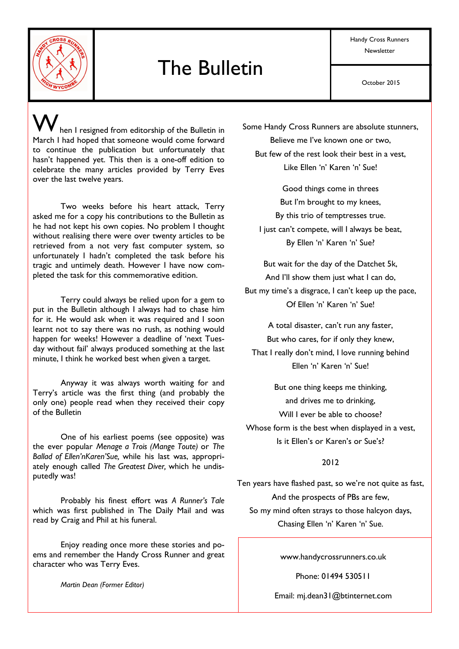

# The Bulletin

Handy Cross Runners **Newsletter** 

hen I resigned from editorship of the Bulletin in March I had hoped that someone would come forward to continue the publication but unfortunately that hasn't happened yet. This then is a one-off edition to celebrate the many articles provided by Terry Eves over the last twelve years.

 Two weeks before his heart attack, Terry asked me for a copy his contributions to the Bulletin as he had not kept his own copies. No problem I thought without realising there were over twenty articles to be retrieved from a not very fast computer system, so unfortunately I hadn't completed the task before his tragic and untimely death. However I have now completed the task for this commemorative edition.

 Terry could always be relied upon for a gem to put in the Bulletin although I always had to chase him for it. He would ask when it was required and I soon learnt not to say there was no rush, as nothing would happen for weeks! However a deadline of 'next Tuesday without fail' always produced something at the last minute, I think he worked best when given a target.

 Anyway it was always worth waiting for and Terry's article was the first thing (and probably the only one) people read when they received their copy of the Bulletin

 One of his earliest poems (see opposite) was the ever popular *Menage a Trois (Mange Toute)* or *The Ballad of Ellen'nKaren'Sue,* while his last was, appropriately enough called *The Greatest Diver,* which he undisputedly was!

 Probably his finest effort was *A Runner's Tale*  which was first published in The Daily Mail and was read by Craig and Phil at his funeral.

 Enjoy reading once more these stories and poems and remember the Handy Cross Runner and great character who was Terry Eves.

*Martin Dean (Former Editor)* 

Some Handy Cross Runners are absolute stunners,

Believe me I've known one or two, But few of the rest look their best in a vest, Like Ellen 'n' Karen 'n' Sue!

Good things come in threes But I'm brought to my knees, By this trio of temptresses true. I just can't compete, will I always be beat, By Ellen 'n' Karen 'n' Sue?

But wait for the day of the Datchet 5k, And I'll show them just what I can do, But my time's a disgrace, I can't keep up the pace, Of Ellen 'n' Karen 'n' Sue!

A total disaster, can't run any faster, But who cares, for if only they knew, That I really don't mind, I love running behind Ellen 'n' Karen 'n' Sue!

But one thing keeps me thinking, and drives me to drinking, Will I ever be able to choose? Whose form is the best when displayed in a vest, Is it Ellen's or Karen's or Sue's?

## 2012

Ten years have flashed past, so we're not quite as fast, And the prospects of PBs are few, So my mind often strays to those halcyon days, Chasing Ellen 'n' Karen 'n' Sue.

www.handycrossrunners.co.uk

Phone: 01494 530511

Email: mj.dean31@btinternet.com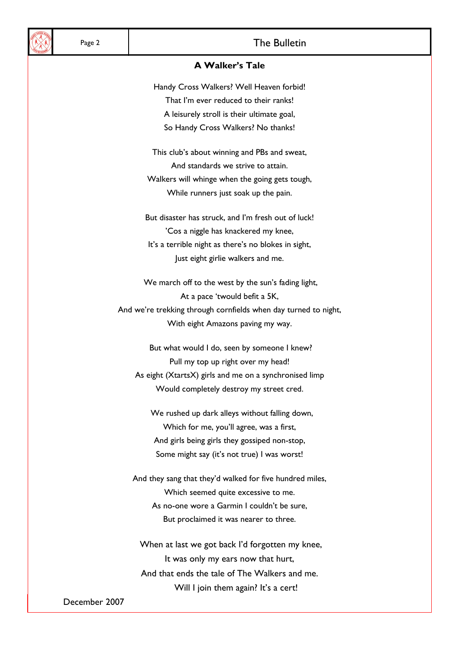## Page 2 and 1 and 2 and 2 and 2 and 2 and 2 and 2 and 2 and 2 and 2 and 2 and 2 and 2 and 2 and 2 and 2 and 2 and 2 and 2 and 2 and 2 and 2 and 2 and 2 and 2 and 2 and 2 and 2 and 2 and 2 and 2 and 2 and 2 and 2 and 2 and 2

#### **A Walker's Tale**

Handy Cross Walkers? Well Heaven forbid! That I'm ever reduced to their ranks! A leisurely stroll is their ultimate goal, So Handy Cross Walkers? No thanks!

This club's about winning and PBs and sweat, And standards we strive to attain. Walkers will whinge when the going gets tough, While runners just soak up the pain.

But disaster has struck, and I'm fresh out of luck! 'Cos a niggle has knackered my knee, It's a terrible night as there's no blokes in sight, Just eight girlie walkers and me.

We march off to the west by the sun's fading light, At a pace 'twould befit a 5K, And we're trekking through cornfields when day turned to night, With eight Amazons paving my way.

 But what would I do, seen by someone I knew? Pull my top up right over my head! As eight (XtartsX) girls and me on a synchronised limp Would completely destroy my street cred.

 We rushed up dark alleys without falling down, Which for me, you'll agree, was a first, And girls being girls they gossiped non-stop, Some might say (it's not true) I was worst!

And they sang that they'd walked for five hundred miles, Which seemed quite excessive to me. As no-one wore a Garmin I couldn't be sure, But proclaimed it was nearer to three.

 When at last we got back I'd forgotten my knee, It was only my ears now that hurt, And that ends the tale of The Walkers and me. Will I join them again? It's a cert!

December 2007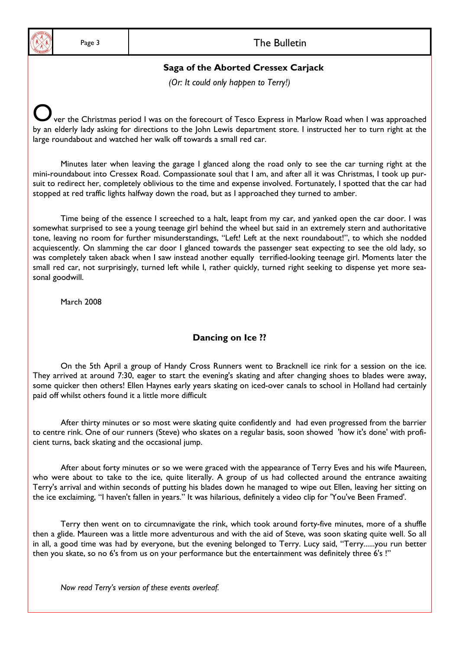## Page 3 and 1 and 2 and 2 and 2 and 2 and 2 and 2 and 2 and 2 and 2 and 2 and 2 and 2 and 2 and 2 and 2 and 2 and 2 and 2 and 2 and 2 and 2 and 2 and 2 and 2 and 2 and 2 and 2 and 2 and 2 and 2 and 2 and 2 and 2 and 2 and 2

## **Saga of the Aborted Cressex Carjack**

*(Or: It could only happen to Terry!)* 

ver the Christmas period I was on the forecourt of Tesco Express in Marlow Road when I was approached by an elderly lady asking for directions to the John Lewis department store. I instructed her to turn right at the large roundabout and watched her walk off towards a small red car.

 Minutes later when leaving the garage I glanced along the road only to see the car turning right at the mini-roundabout into Cressex Road. Compassionate soul that I am, and after all it was Christmas, I took up pursuit to redirect her, completely oblivious to the time and expense involved. Fortunately, I spotted that the car had stopped at red traffic lights halfway down the road, but as I approached they turned to amber.

 Time being of the essence I screeched to a halt, leapt from my car, and yanked open the car door. I was somewhat surprised to see a young teenage girl behind the wheel but said in an extremely stern and authoritative tone, leaving no room for further misunderstandings, "Left! Left at the next roundabout!", to which she nodded acquiescently. On slamming the car door I glanced towards the passenger seat expecting to see the old lady, so was completely taken aback when I saw instead another equally terrified-looking teenage girl. Moments later the small red car, not surprisingly, turned left while I, rather quickly, turned right seeking to dispense yet more seasonal goodwill.

March 2008

# **Dancing on Ice ??**

 On the 5th April a group of Handy Cross Runners went to Bracknell ice rink for a session on the ice. They arrived at around 7:30, eager to start the evening's skating and after changing shoes to blades were away, some quicker then others! Ellen Haynes early years skating on iced-over canals to school in Holland had certainly paid off whilst others found it a little more difficult

 After thirty minutes or so most were skating quite confidently and had even progressed from the barrier to centre rink. One of our runners (Steve) who skates on a regular basis, soon showed 'how it's done' with proficient turns, back skating and the occasional jump.

 After about forty minutes or so we were graced with the appearance of Terry Eves and his wife Maureen, who were about to take to the ice, quite literally. A group of us had collected around the entrance awaiting Terry's arrival and within seconds of putting his blades down he managed to wipe out Ellen, leaving her sitting on the ice exclaiming, "I haven't fallen in years." It was hilarious, definitely a video clip for 'You've Been Framed'.

 Terry then went on to circumnavigate the rink, which took around forty-five minutes, more of a shuffle then a glide. Maureen was a little more adventurous and with the aid of Steve, was soon skating quite well. So all in all, a good time was had by everyone, but the evening belonged to Terry. Lucy said, "Terry......you run better then you skate, so no 6's from us on your performance but the entertainment was definitely three 6's !"

 *Now read Terry's version of these events overleaf.*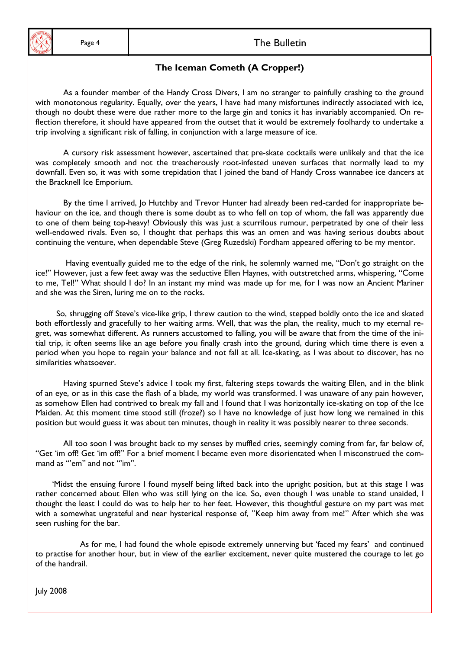## Page 4 and 1 and 1 and 2 and 2 and 2 and 2 and 2 and 2 and 2 and 2 and 2 and 2 and 2 and 2 and 2 and 2 and 2 and 2 and 2 and 2 and 2 and 2 and 2 and 2 and 2 and 2 and 2 and 2 and 2 and 2 and 2 and 2 and 2 and 2 and 2 and 2

# **The Iceman Cometh (A Cropper!)**

 As a founder member of the Handy Cross Divers, I am no stranger to painfully crashing to the ground with monotonous regularity. Equally, over the years, I have had many misfortunes indirectly associated with ice, though no doubt these were due rather more to the large gin and tonics it has invariably accompanied. On reflection therefore, it should have appeared from the outset that it would be extremely foolhardy to undertake a trip involving a significant risk of falling, in conjunction with a large measure of ice.

 A cursory risk assessment however, ascertained that pre-skate cocktails were unlikely and that the ice was completely smooth and not the treacherously root-infested uneven surfaces that normally lead to my downfall. Even so, it was with some trepidation that I joined the band of Handy Cross wannabee ice dancers at the Bracknell Ice Emporium.

By the time I arrived, Jo Hutchby and Trevor Hunter had already been red-carded for inappropriate behaviour on the ice, and though there is some doubt as to who fell on top of whom, the fall was apparently due to one of them being top-heavy! Obviously this was just a scurrilous rumour, perpetrated by one of their less well-endowed rivals. Even so, I thought that perhaps this was an omen and was having serious doubts about continuing the venture, when dependable Steve (Greg Ruzedski) Fordham appeared offering to be my mentor.

 Having eventually guided me to the edge of the rink, he solemnly warned me, "Don't go straight on the ice!" However, just a few feet away was the seductive Ellen Haynes, with outstretched arms, whispering, "Come to me, Tel!" What should I do? In an instant my mind was made up for me, for I was now an Ancient Mariner and she was the Siren, luring me on to the rocks.

So, shrugging off Steve's vice-like grip, I threw caution to the wind, stepped boldly onto the ice and skated both effortlessly and gracefully to her waiting arms. Well, that was the plan, the reality, much to my eternal regret, was somewhat different. As runners accustomed to falling, you will be aware that from the time of the initial trip, it often seems like an age before you finally crash into the ground, during which time there is even a period when you hope to regain your balance and not fall at all. Ice-skating, as I was about to discover, has no similarities whatsoever.

 Having spurned Steve's advice I took my first, faltering steps towards the waiting Ellen, and in the blink of an eye, or as in this case the flash of a blade, my world was transformed. I was unaware of any pain however, as somehow Ellen had contrived to break my fall and I found that I was horizontally ice-skating on top of the Ice Maiden. At this moment time stood still (froze?) so I have no knowledge of just how long we remained in this position but would guess it was about ten minutes, though in reality it was possibly nearer to three seconds.

 All too soon I was brought back to my senses by muffled cries, seemingly coming from far, far below of, "Get 'im off! Get 'im off!" For a brief moment I became even more disorientated when I misconstrued the command as "'em" and not "im".

 'Midst the ensuing furore I found myself being lifted back into the upright position, but at this stage I was rather concerned about Ellen who was still lying on the ice. So, even though I was unable to stand unaided, I thought the least I could do was to help her to her feet. However, this thoughtful gesture on my part was met with a somewhat ungrateful and near hysterical response of, "Keep him away from me!" After which she was seen rushing for the bar.

 As for me, I had found the whole episode extremely unnerving but 'faced my fears' and continued to practise for another hour, but in view of the earlier excitement, never quite mustered the courage to let go of the handrail.

July 2008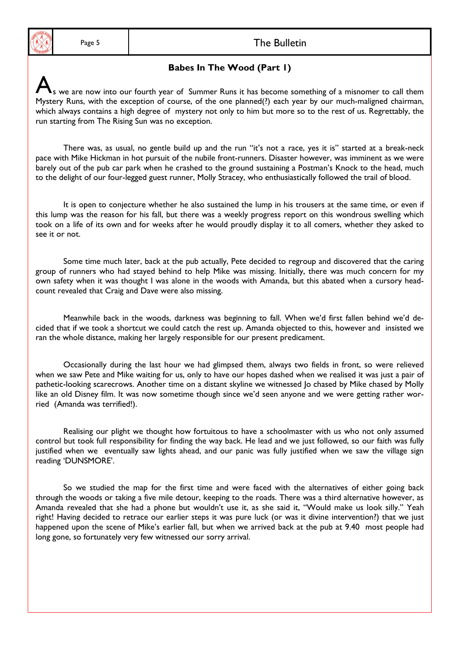#### Page 5 and 1 and 2 and 2 and 2 and 2 and 2 and 2 and 2 and 2 and 2 and 2 and 2 and 2 and 2 and 2 and 2 and 2 and 2 and 2 and 2 and 2 and 2 and 2 and 2 and 2 and 2 and 2 and 2 and 2 and 2 and 2 and 2 and 2 and 2 and 2 and 2

#### **Babes In The Wood (Part 1)**

s we are now into our fourth year of Summer Runs it has become something of a misnomer to call them Mystery Runs, with the exception of course, of the one planned(?) each year by our much-maligned chairman, which always contains a high degree of mystery not only to him but more so to the rest of us. Regrettably, the run starting from The Rising Sun was no exception.

 There was, as usual, no gentle build up and the run "it's not a race, yes it is" started at a break-neck pace with Mike Hickman in hot pursuit of the nubile front-runners. Disaster however, was imminent as we were barely out of the pub car park when he crashed to the ground sustaining a Postman's Knock to the head, much to the delight of our four-legged guest runner, Molly Stracey, who enthusiastically followed the trail of blood.

 It is open to conjecture whether he also sustained the lump in his trousers at the same time, or even if this lump was the reason for his fall, but there was a weekly progress report on this wondrous swelling which took on a life of its own and for weeks after he would proudly display it to all comers, whether they asked to see it or not.

 Some time much later, back at the pub actually, Pete decided to regroup and discovered that the caring group of runners who had stayed behind to help Mike was missing. Initially, there was much concern for my own safety when it was thought I was alone in the woods with Amanda, but this abated when a cursory headcount revealed that Craig and Dave were also missing.

Meanwhile back in the woods, darkness was beginning to fall. When we'd first fallen behind we'd decided that if we took a shortcut we could catch the rest up. Amanda objected to this, however and insisted we ran the whole distance, making her largely responsible for our present predicament.

Occasionally during the last hour we had glimpsed them, always two fields in front, so were relieved when we saw Pete and Mike waiting for us, only to have our hopes dashed when we realised it was just a pair of pathetic-looking scarecrows. Another time on a distant skyline we witnessed Jo chased by Mike chased by Molly like an old Disney film. It was now sometime though since we'd seen anyone and we were getting rather worried (Amanda was terrified!).

Realising our plight we thought how fortuitous to have a schoolmaster with us who not only assumed control but took full responsibility for finding the way back. He lead and we just followed, so our faith was fully justified when we eventually saw lights ahead, and our panic was fully justified when we saw the village sign reading 'DUNSMORE'.

 So we studied the map for the first time and were faced with the alternatives of either going back through the woods or taking a five mile detour, keeping to the roads. There was a third alternative however, as Amanda revealed that she had a phone but wouldn't use it, as she said it, "Would make us look silly." Yeah right! Having decided to retrace our earlier steps it was pure luck (or was it divine intervention?) that we just happened upon the scene of Mike's earlier fall, but when we arrived back at the pub at 9.40 most people had long gone, so fortunately very few witnessed our sorry arrival.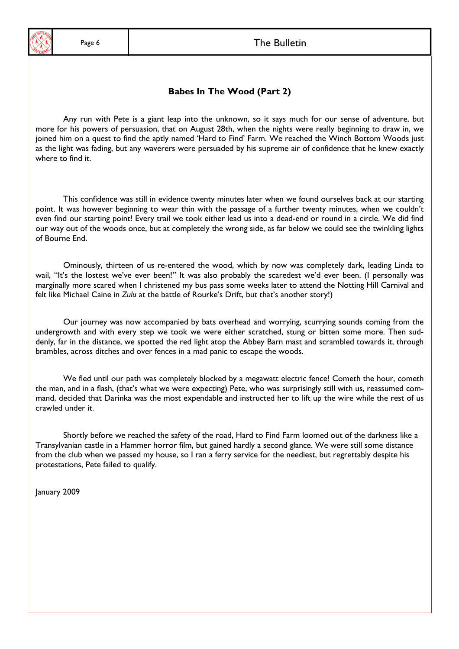## Page 6 and 1 and 1 and 2 and 2 and 2 and 2 and 2 and 2 and 2 and 2 and 2 and 2 and 2 and 2 and 2 and 2 and 2 and 2 and 2 and 2 and 2 and 2 and 2 and 2 and 2 and 2 and 2 and 2 and 2 and 2 and 2 and 2 and 2 and 2 and 2 and 2

#### **Babes In The Wood (Part 2)**

Any run with Pete is a giant leap into the unknown, so it says much for our sense of adventure, but more for his powers of persuasion, that on August 28th, when the nights were really beginning to draw in, we joined him on a quest to find the aptly named 'Hard to Find' Farm. We reached the Winch Bottom Woods just as the light was fading, but any waverers were persuaded by his supreme air of confidence that he knew exactly where to find it.

This confidence was still in evidence twenty minutes later when we found ourselves back at our starting point. It was however beginning to wear thin with the passage of a further twenty minutes, when we couldn't even find our starting point! Every trail we took either lead us into a dead-end or round in a circle. We did find our way out of the woods once, but at completely the wrong side, as far below we could see the twinkling lights of Bourne End.

 Ominously, thirteen of us re-entered the wood, which by now was completely dark, leading Linda to wail, "It's the lostest we've ever been!" It was also probably the scaredest we'd ever been. (I personally was marginally more scared when I christened my bus pass some weeks later to attend the Notting Hill Carnival and felt like Michael Caine in *Zulu* at the battle of Rourke's Drift, but that's another story!)

 Our journey was now accompanied by bats overhead and worrying, scurrying sounds coming from the undergrowth and with every step we took we were either scratched, stung or bitten some more. Then suddenly, far in the distance, we spotted the red light atop the Abbey Barn mast and scrambled towards it, through brambles, across ditches and over fences in a mad panic to escape the woods.

 We fled until our path was completely blocked by a megawatt electric fence! Cometh the hour, cometh the man, and in a flash, (that's what we were expecting) Pete, who was surprisingly still with us, reassumed command, decided that Darinka was the most expendable and instructed her to lift up the wire while the rest of us crawled under it.

 Shortly before we reached the safety of the road, Hard to Find Farm loomed out of the darkness like a Transylvanian castle in a Hammer horror film, but gained hardly a second glance. We were still some distance from the club when we passed my house, so I ran a ferry service for the neediest, but regrettably despite his protestations, Pete failed to qualify.

January 2009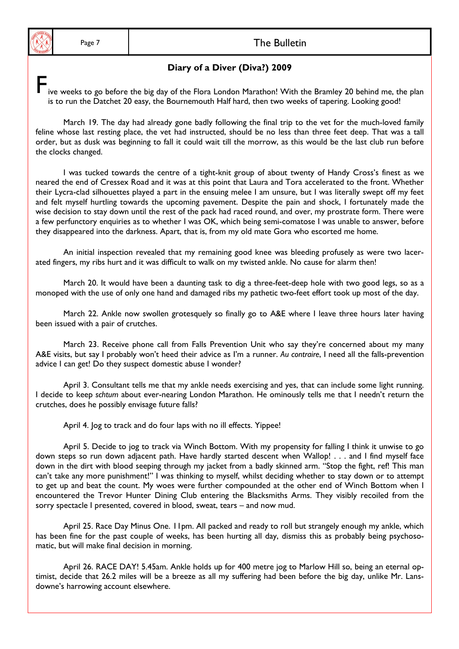# **Diary of a Diver (Diva?) 2009**

ive weeks to go before the big day of the Flora London Marathon! With the Bramley 20 behind me, the plan is to run the Datchet 20 easy, the Bournemouth Half hard, then two weeks of tapering. Looking good!

 March 19. The day had already gone badly following the final trip to the vet for the much-loved family feline whose last resting place, the vet had instructed, should be no less than three feet deep. That was a tall order, but as dusk was beginning to fall it could wait till the morrow, as this would be the last club run before the clocks changed.

 I was tucked towards the centre of a tight-knit group of about twenty of Handy Cross's finest as we neared the end of Cressex Road and it was at this point that Laura and Tora accelerated to the front. Whether their Lycra-clad silhouettes played a part in the ensuing melee I am unsure, but I was literally swept off my feet and felt myself hurtling towards the upcoming pavement. Despite the pain and shock, I fortunately made the wise decision to stay down until the rest of the pack had raced round, and over, my prostrate form. There were a few perfunctory enquiries as to whether I was OK, which being semi-comatose I was unable to answer, before they disappeared into the darkness. Apart, that is, from my old mate Gora who escorted me home.

 An initial inspection revealed that my remaining good knee was bleeding profusely as were two lacerated fingers, my ribs hurt and it was difficult to walk on my twisted ankle. No cause for alarm then!

 March 20. It would have been a daunting task to dig a three-feet-deep hole with two good legs, so as a monoped with the use of only one hand and damaged ribs my pathetic two-feet effort took up most of the day.

 March 22. Ankle now swollen grotesquely so finally go to A&E where I leave three hours later having been issued with a pair of crutches.

 March 23. Receive phone call from Falls Prevention Unit who say they're concerned about my many A&E visits, but say I probably won't heed their advice as I'm a runner. *Au contraire*, I need all the falls-prevention advice I can get! Do they suspect domestic abuse I wonder?

 April 3. Consultant tells me that my ankle needs exercising and yes, that can include some light running. I decide to keep *schtum* about ever-nearing London Marathon. He ominously tells me that I needn't return the crutches, does he possibly envisage future falls?

April 4. Jog to track and do four laps with no ill effects. Yippee!

 April 5. Decide to jog to track via Winch Bottom. With my propensity for falling I think it unwise to go down steps so run down adjacent path. Have hardly started descent when Wallop! . . . and I find myself face down in the dirt with blood seeping through my jacket from a badly skinned arm. "Stop the fight, ref! This man can't take any more punishment!" I was thinking to myself, whilst deciding whether to stay down or to attempt to get up and beat the count. My woes were further compounded at the other end of Winch Bottom when I encountered the Trevor Hunter Dining Club entering the Blacksmiths Arms. They visibly recoiled from the sorry spectacle I presented, covered in blood, sweat, tears – and now mud.

 April 25. Race Day Minus One. 11pm. All packed and ready to roll but strangely enough my ankle, which has been fine for the past couple of weeks, has been hurting all day, dismiss this as probably being psychosomatic, but will make final decision in morning.

 April 26. RACE DAY! 5.45am. Ankle holds up for 400 metre jog to Marlow Hill so, being an eternal optimist, decide that 26.2 miles will be a breeze as all my suffering had been before the big day, unlike Mr. Lansdowne's harrowing account elsewhere.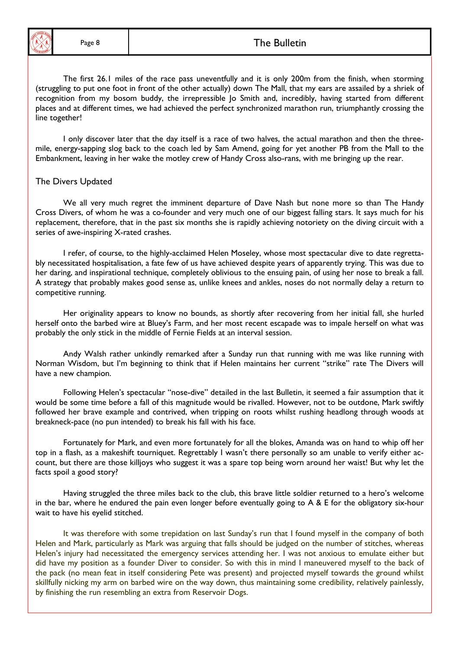## Page 8 and 1 and 1 and 2 and 2 and 2 and 2 and 2 and 2 and 2 and 2 and 2 and 2 and 2 and 2 and 2 and 2 and 2 and 2 and 2 and 2 and 2 and 2 and 2 and 2 and 2 and 2 and 2 and 2 and 2 and 2 and 2 and 2 and 2 and 2 and 2 and 2

 The first 26.1 miles of the race pass uneventfully and it is only 200m from the finish, when storming (struggling to put one foot in front of the other actually) down The Mall, that my ears are assailed by a shriek of recognition from my bosom buddy, the irrepressible Jo Smith and, incredibly, having started from different places and at different times, we had achieved the perfect synchronized marathon run, triumphantly crossing the line together!

 I only discover later that the day itself is a race of two halves, the actual marathon and then the threemile, energy-sapping slog back to the coach led by Sam Amend, going for yet another PB from the Mall to the Embankment, leaving in her wake the motley crew of Handy Cross also-rans, with me bringing up the rear.

#### The Divers Updated

 We all very much regret the imminent departure of Dave Nash but none more so than The Handy Cross Divers, of whom he was a co-founder and very much one of our biggest falling stars. It says much for his replacement, therefore, that in the past six months she is rapidly achieving notoriety on the diving circuit with a series of awe-inspiring X-rated crashes.

 I refer, of course, to the highly-acclaimed Helen Moseley, whose most spectacular dive to date regrettably necessitated hospitalisation, a fate few of us have achieved despite years of apparently trying. This was due to her daring, and inspirational technique, completely oblivious to the ensuing pain, of using her nose to break a fall. A strategy that probably makes good sense as, unlike knees and ankles, noses do not normally delay a return to competitive running.

 Her originality appears to know no bounds, as shortly after recovering from her initial fall, she hurled herself onto the barbed wire at Bluey's Farm, and her most recent escapade was to impale herself on what was probably the only stick in the middle of Fernie Fields at an interval session.

 Andy Walsh rather unkindly remarked after a Sunday run that running with me was like running with Norman Wisdom, but I'm beginning to think that if Helen maintains her current "strike" rate The Divers will have a new champion.

 Following Helen's spectacular "nose-dive" detailed in the last Bulletin, it seemed a fair assumption that it would be some time before a fall of this magnitude would be rivalled. However, not to be outdone, Mark swiftly followed her brave example and contrived, when tripping on roots whilst rushing headlong through woods at breakneck-pace (no pun intended) to break his fall with his face.

 Fortunately for Mark, and even more fortunately for all the blokes, Amanda was on hand to whip off her top in a flash, as a makeshift tourniquet. Regrettably I wasn't there personally so am unable to verify either account, but there are those killjoys who suggest it was a spare top being worn around her waist! But why let the facts spoil a good story?

 Having struggled the three miles back to the club, this brave little soldier returned to a hero's welcome in the bar, where he endured the pain even longer before eventually going to A & E for the obligatory six-hour wait to have his eyelid stitched.

 It was therefore with some trepidation on last Sunday's run that I found myself in the company of both Helen and Mark, particularly as Mark was arguing that falls should be judged on the number of stitches, whereas Helen's injury had necessitated the emergency services attending her. I was not anxious to emulate either but did have my position as a founder Diver to consider. So with this in mind I maneuvered myself to the back of the pack (no mean feat in itself considering Pete was present) and projected myself towards the ground whilst skillfully nicking my arm on barbed wire on the way down, thus maintaining some credibility, relatively painlessly, by finishing the run resembling an extra from Reservoir Dogs.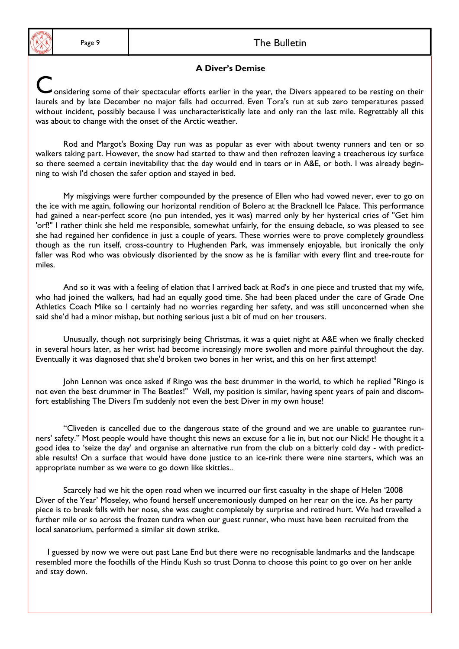## Page 9 and 1 and 1 and 2 and 2 and 2 and 2 and 2 and 2 and 2 and 2 and 2 and 2 and 2 and 2 and 2 and 2 and 2 and 2 and 2 and 2 and 2 and 2 and 2 and 2 and 2 and 2 and 2 and 2 and 2 and 2 and 2 and 2 and 2 and 2 and 2 and 2

#### **A Diver's Demise**

onsidering some of their spectacular efforts earlier in the year, the Divers appeared to be resting on their laurels and by late December no major falls had occurred. Even Tora's run at sub zero temperatures passed without incident, possibly because I was uncharacteristically late and only ran the last mile. Regrettably all this was about to change with the onset of the Arctic weather.

 Rod and Margot's Boxing Day run was as popular as ever with about twenty runners and ten or so walkers taking part. However, the snow had started to thaw and then refrozen leaving a treacherous icy surface so there seemed a certain inevitability that the day would end in tears or in A&E, or both. I was already beginning to wish I'd chosen the safer option and stayed in bed.

 My misgivings were further compounded by the presence of Ellen who had vowed never, ever to go on the ice with me again, following our horizontal rendition of Bolero at the Bracknell Ice Palace. This performance had gained a near-perfect score (no pun intended, yes it was) marred only by her hysterical cries of "Get him 'orf!" I rather think she held me responsible, somewhat unfairly, for the ensuing debacle, so was pleased to see she had regained her confidence in just a couple of years. These worries were to prove completely groundless though as the run itself, cross-country to Hughenden Park, was immensely enjoyable, but ironically the only faller was Rod who was obviously disoriented by the snow as he is familiar with every flint and tree-route for miles.

 And so it was with a feeling of elation that I arrived back at Rod's in one piece and trusted that my wife, who had joined the walkers, had had an equally good time. She had been placed under the care of Grade One Athletics Coach Mike so I certainly had no worries regarding her safety, and was still unconcerned when she said she'd had a minor mishap, but nothing serious just a bit of mud on her trousers.

 Unusually, though not surprisingly being Christmas, it was a quiet night at A&E when we finally checked in several hours later, as her wrist had become increasingly more swollen and more painful throughout the day. Eventually it was diagnosed that she'd broken two bones in her wrist, and this on her first attempt!

 John Lennon was once asked if Ringo was the best drummer in the world, to which he replied "Ringo is not even the best drummer in The Beatles!" Well, my position is similar, having spent years of pain and discomfort establishing The Divers I'm suddenly not even the best Diver in my own house!

 "Cliveden is cancelled due to the dangerous state of the ground and we are unable to guarantee runners' safety." Most people would have thought this news an excuse for a lie in, but not our Nick! He thought it a good idea to 'seize the day' and organise an alternative run from the club on a bitterly cold day - with predictable results! On a surface that would have done justice to an ice-rink there were nine starters, which was an appropriate number as we were to go down like skittles..

 Scarcely had we hit the open road when we incurred our first casualty in the shape of Helen '2008 Diver of the Year' Moseley, who found herself unceremoniously dumped on her rear on the ice. As her party piece is to break falls with her nose, she was caught completely by surprise and retired hurt. We had travelled a further mile or so across the frozen tundra when our guest runner, who must have been recruited from the local sanatorium, performed a similar sit down strike.

 I guessed by now we were out past Lane End but there were no recognisable landmarks and the landscape resembled more the foothills of the Hindu Kush so trust Donna to choose this point to go over on her ankle and stay down.

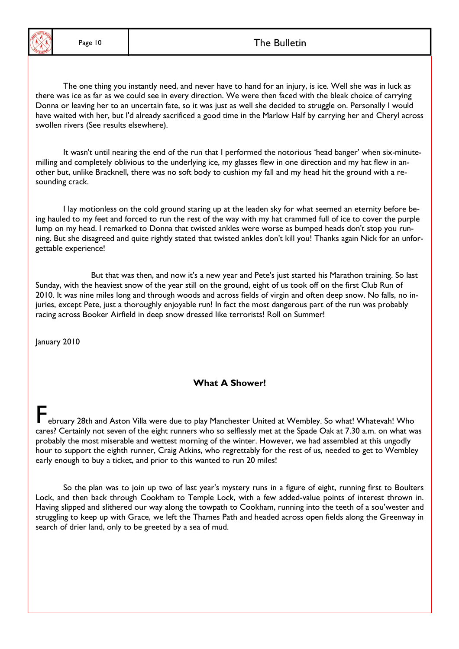

Ξ

## Page 10 and 1 and 1 and 1 and 1 and 1 and 1 and 1 and 1 and 1 and 1 and 1 and 1 and 1 and 1 and 1 and 1 and 1 and 1 and 1 and 1 and 1 and 1 and 1 and 1 and 1 and 1 and 1 and 1 and 1 and 1 and 1 and 1 and 1 and 1 and 1 and

 The one thing you instantly need, and never have to hand for an injury, is ice. Well she was in luck as there was ice as far as we could see in every direction. We were then faced with the bleak choice of carrying Donna or leaving her to an uncertain fate, so it was just as well she decided to struggle on. Personally I would have waited with her, but I'd already sacrificed a good time in the Marlow Half by carrying her and Cheryl across swollen rivers (See results elsewhere).

 It wasn't until nearing the end of the run that I performed the notorious 'head banger' when six-minutemilling and completely oblivious to the underlying ice, my glasses flew in one direction and my hat flew in another but, unlike Bracknell, there was no soft body to cushion my fall and my head hit the ground with a resounding crack.

 I lay motionless on the cold ground staring up at the leaden sky for what seemed an eternity before being hauled to my feet and forced to run the rest of the way with my hat crammed full of ice to cover the purple lump on my head. I remarked to Donna that twisted ankles were worse as bumped heads don't stop you running. But she disagreed and quite rightly stated that twisted ankles don't kill you! Thanks again Nick for an unforgettable experience!

 But that was then, and now it's a new year and Pete's just started his Marathon training. So last Sunday, with the heaviest snow of the year still on the ground, eight of us took off on the first Club Run of 2010. It was nine miles long and through woods and across fields of virgin and often deep snow. No falls, no injuries, except Pete, just a thoroughly enjoyable run! In fact the most dangerous part of the run was probably racing across Booker Airfield in deep snow dressed like terrorists! Roll on Summer!

January 2010

#### **What A Shower!**

ebruary 28th and Aston Villa were due to play Manchester United at Wembley. So what! Whatevah! Who cares? Certainly not seven of the eight runners who so selflessly met at the Spade Oak at 7.30 a.m. on what was probably the most miserable and wettest morning of the winter. However, we had assembled at this ungodly hour to support the eighth runner, Craig Atkins, who regrettably for the rest of us, needed to get to Wembley early enough to buy a ticket, and prior to this wanted to run 20 miles!

 So the plan was to join up two of last year's mystery runs in a figure of eight, running first to Boulters Lock, and then back through Cookham to Temple Lock, with a few added-value points of interest thrown in. Having slipped and slithered our way along the towpath to Cookham, running into the teeth of a sou'wester and struggling to keep up with Grace, we left the Thames Path and headed across open fields along the Greenway in search of drier land, only to be greeted by a sea of mud.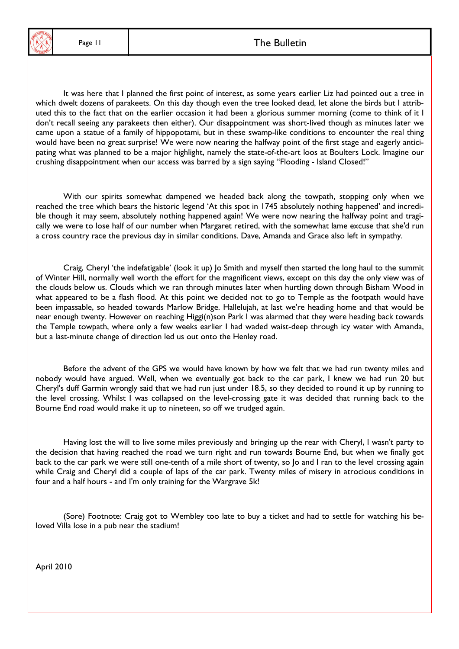

# Page 11 and 1 and 1 and 1 and 1 and 1 and 1 and 1 and 1 and 1 and 1 and 1 and 1 and 1 and 1 and 1 and 1 and 1 and 1 and 1 and 1 and 1 and 1 and 1 and 1 and 1 and 1 and 1 and 1 and 1 and 1 and 1 and 1 and 1 and 1 and 1 and

It was here that I planned the first point of interest, as some years earlier Liz had pointed out a tree in which dwelt dozens of parakeets. On this day though even the tree looked dead, let alone the birds but I attributed this to the fact that on the earlier occasion it had been a glorious summer morning (come to think of it I don't recall seeing any parakeets then either). Our disappointment was short-lived though as minutes later we came upon a statue of a family of hippopotami, but in these swamp-like conditions to encounter the real thing would have been no great surprise! We were now nearing the halfway point of the first stage and eagerly anticipating what was planned to be a major highlight, namely the state-of-the-art loos at Boulters Lock. Imagine our crushing disappointment when our access was barred by a sign saying "Flooding - Island Closed!"

 With our spirits somewhat dampened we headed back along the towpath, stopping only when we reached the tree which bears the historic legend 'At this spot in 1745 absolutely nothing happened' and incredible though it may seem, absolutely nothing happened again! We were now nearing the halfway point and tragically we were to lose half of our number when Margaret retired, with the somewhat lame excuse that she'd run a cross country race the previous day in similar conditions. Dave, Amanda and Grace also left in sympathy.

 Craig, Cheryl 'the indefatigable' (look it up) Jo Smith and myself then started the long haul to the summit of Winter Hill, normally well worth the effort for the magnificent views, except on this day the only view was of the clouds below us. Clouds which we ran through minutes later when hurtling down through Bisham Wood in what appeared to be a flash flood. At this point we decided not to go to Temple as the footpath would have been impassable, so headed towards Marlow Bridge. Hallelujah, at last we're heading home and that would be near enough twenty. However on reaching Higgi(n)son Park I was alarmed that they were heading back towards the Temple towpath, where only a few weeks earlier I had waded waist-deep through icy water with Amanda, but a last-minute change of direction led us out onto the Henley road.

 Before the advent of the GPS we would have known by how we felt that we had run twenty miles and nobody would have argued. Well, when we eventually got back to the car park, I knew we had run 20 but Cheryl's duff Garmin wrongly said that we had run just under 18.5, so they decided to round it up by running to the level crossing. Whilst I was collapsed on the level-crossing gate it was decided that running back to the Bourne End road would make it up to nineteen, so off we trudged again.

 Having lost the will to live some miles previously and bringing up the rear with Cheryl, I wasn't party to the decision that having reached the road we turn right and run towards Bourne End, but when we finally got back to the car park we were still one-tenth of a mile short of twenty, so Jo and I ran to the level crossing again while Craig and Cheryl did a couple of laps of the car park. Twenty miles of misery in atrocious conditions in four and a half hours - and I'm only training for the Wargrave 5k!

(Sore) Footnote: Craig got to Wembley too late to buy a ticket and had to settle for watching his beloved Villa lose in a pub near the stadium!

April 2010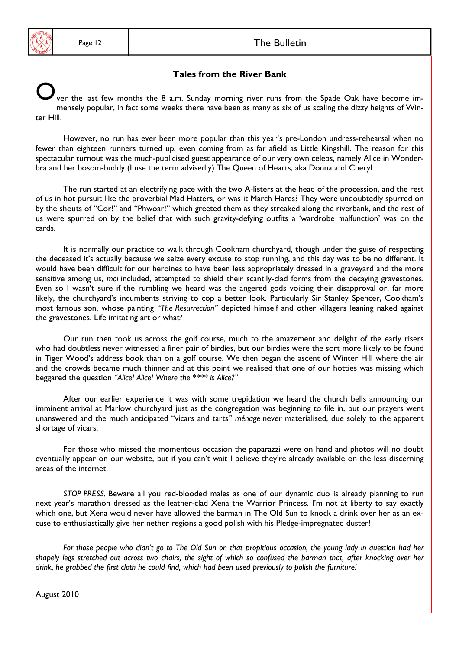#### Page 12 and 12 and 12 and 12 and 12 and 12 and 12 and 12 and 12 and 12 and 12 and 12 and 12 and 12 and 12 and 12 and 12 and 12 and 12 and 12 and 12 and 12 and 12 and 12 and 12 and 12 and 12 and 12 and 12 and 12 and 12 and

#### **Tales from the River Bank**

ver the last few months the 8 a.m. Sunday morning river runs from the Spade Oak have become immensely popular, in fact some weeks there have been as many as six of us scaling the dizzy heights of Winter Hill.

However, no run has ever been more popular than this year's pre-London undress-rehearsal when no fewer than eighteen runners turned up, even coming from as far afield as Little Kingshill. The reason for this spectacular turnout was the much-publicised guest appearance of our very own celebs, namely Alice in Wonderbra and her bosom-buddy (I use the term advisedly) The Queen of Hearts, aka Donna and Cheryl.

 The run started at an electrifying pace with the two A-listers at the head of the procession, and the rest of us in hot pursuit like the proverbial Mad Hatters, or was it March Hares? They were undoubtedly spurred on by the shouts of "Cor!" and "Phwoar!" which greeted them as they streaked along the riverbank, and the rest of us were spurred on by the belief that with such gravity-defying outfits a 'wardrobe malfunction' was on the cards.

 It is normally our practice to walk through Cookham churchyard, though under the guise of respecting the deceased it's actually because we seize every excuse to stop running, and this day was to be no different. It would have been difficult for our heroines to have been less appropriately dressed in a graveyard and the more sensitive among us, *moi* included, attempted to shield their scantily-clad forms from the decaying gravestones. Even so I wasn't sure if the rumbling we heard was the angered gods voicing their disapproval or, far more likely, the churchyard's incumbents striving to cop a better look. Particularly Sir Stanley Spencer, Cookham's most famous son, whose painting *"The Resurrection"* depicted himself and other villagers leaning naked against the gravestones. Life imitating art or what?

 Our run then took us across the golf course, much to the amazement and delight of the early risers who had doubtless never witnessed a finer pair of birdies, but our birdies were the sort more likely to be found in Tiger Wood's address book than on a golf course. We then began the ascent of Winter Hill where the air and the crowds became much thinner and at this point we realised that one of our hotties was missing which beggared the question *"Alice! Alice! Where the \*\*\*\* is Alice?"*

 After our earlier experience it was with some trepidation we heard the church bells announcing our imminent arrival at Marlow churchyard just as the congregation was beginning to file in, but our prayers went unanswered and the much anticipated "vicars and tarts" *ménage* never materialised, due solely to the apparent shortage of vicars.

 For those who missed the momentous occasion the paparazzi were on hand and photos will no doubt eventually appear on our website, but if you can't wait I believe they're already available on the less discerning areas of the internet.

*STOP PRESS.* Beware all you red-blooded males as one of our dynamic duo is already planning to run next year's marathon dressed as the leather-clad Xena the Warrior Princess. I'm not at liberty to say exactly which one, but Xena would never have allowed the barman in The Old Sun to knock a drink over her as an excuse to enthusiastically give her nether regions a good polish with his Pledge-impregnated duster!

*For those people who didn't go to The Old Sun on that propitious occasion, the young lady in question had her shapely legs stretched out across two chairs, the sight of which so confused the barman that, after knocking over her drink, he grabbed the first cloth he could find, which had been used previously to polish the furniture!*

August 2010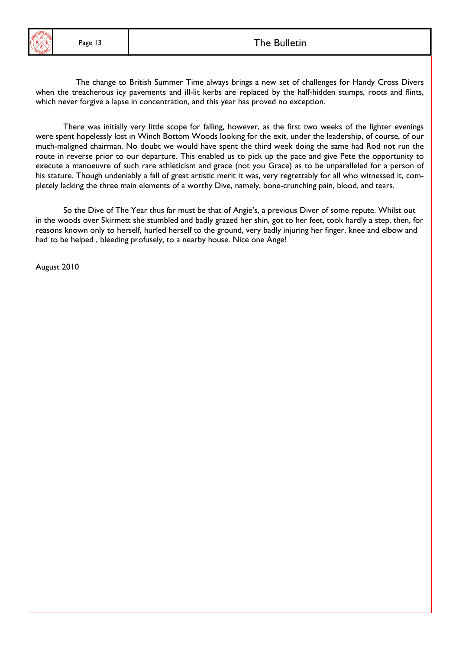

I

 The change to British Summer Time always brings a new set of challenges for Handy Cross Divers when the treacherous icy pavements and ill-lit kerbs are replaced by the half-hidden stumps, roots and flints, which never forgive a lapse in concentration, and this year has proved no exception.

 There was initially very little scope for falling, however, as the first two weeks of the lighter evenings were spent hopelessly lost in Winch Bottom Woods looking for the exit, under the leadership, of course, of our much-maligned chairman. No doubt we would have spent the third week doing the same had Rod not run the route in reverse prior to our departure. This enabled us to pick up the pace and give Pete the opportunity to execute a manoeuvre of such rare athleticism and grace (not you Grace) as to be unparalleled for a person of his stature. Though undeniably a fall of great artistic merit it was, very regrettably for all who witnessed it, completely lacking the three main elements of a worthy Dive, namely, bone-crunching pain, blood, and tears.

 So the Dive of The Year thus far must be that of Angie's, a previous Diver of some repute. Whilst out in the woods over Skirmett she stumbled and badly grazed her shin, got to her feet, took hardly a step, then, for reasons known only to herself, hurled herself to the ground, very badly injuring her finger, knee and elbow and had to be helped , bleeding profusely, to a nearby house. Nice one Ange!

August 2010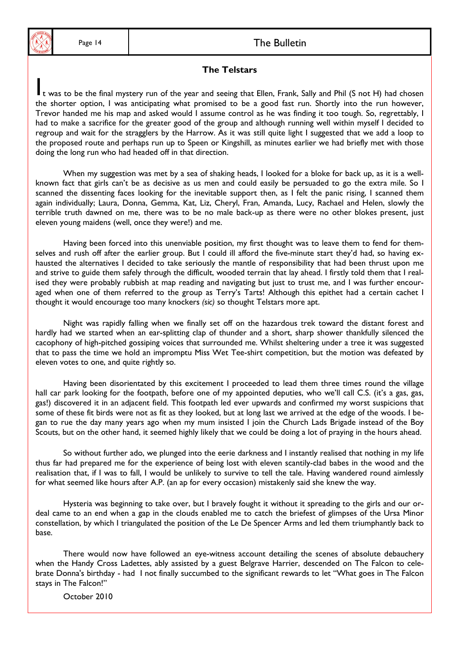#### Page 14 and 1 and 1 and 1 and 1 and 1 and 1 and 1 and 1 and 1 and 1 and 1 and 1 and 1 and 1 and 1 and 1 and 1 and 1 and 1 and 1 and 1 and 1 and 1 and 1 and 1 and 1 and 1 and 1 and 1 and 1 and 1 and 1 and 1 and 1 and 1 and

#### **The Telstars**

It was to be the final mystery run of the year and seeing that Ellen, Frank, Sally and Phil (S not H) had chosen the shorter option, I was anticipating what promised to be a good fast run. Shortly into the run however, Trevor handed me his map and asked would I assume control as he was finding it too tough. So, regrettably, I had to make a sacrifice for the greater good of the group and although running well within myself I decided to regroup and wait for the stragglers by the Harrow. As it was still quite light I suggested that we add a loop to the proposed route and perhaps run up to Speen or Kingshill, as minutes earlier we had briefly met with those doing the long run who had headed off in that direction.

When my suggestion was met by a sea of shaking heads, I looked for a bloke for back up, as it is a wellknown fact that girls can't be as decisive as us men and could easily be persuaded to go the extra mile. So I scanned the dissenting faces looking for the inevitable support then, as I felt the panic rising, I scanned them again individually; Laura, Donna, Gemma, Kat, Liz, Cheryl, Fran, Amanda, Lucy, Rachael and Helen, slowly the terrible truth dawned on me, there was to be no male back-up as there were no other blokes present, just eleven young maidens (well, once they were!) and me.

Having been forced into this unenviable position, my first thought was to leave them to fend for themselves and rush off after the earlier group. But I could ill afford the five-minute start they'd had, so having exhausted the alternatives I decided to take seriously the mantle of responsibility that had been thrust upon me and strive to guide them safely through the difficult, wooded terrain that lay ahead. I firstly told them that I realised they were probably rubbish at map reading and navigating but just to trust me, and I was further encouraged when one of them referred to the group as Terry's Tarts! Although this epithet had a certain cachet I thought it would encourage too many knockers *(sic)* so thought Telstars more apt.

Night was rapidly falling when we finally set off on the hazardous trek toward the distant forest and hardly had we started when an ear-splitting clap of thunder and a short, sharp shower thankfully silenced the cacophony of high-pitched gossiping voices that surrounded me. Whilst sheltering under a tree it was suggested that to pass the time we hold an impromptu Miss Wet Tee-shirt competition, but the motion was defeated by eleven votes to one, and quite rightly so.

Having been disorientated by this excitement I proceeded to lead them three times round the village hall car park looking for the footpath, before one of my appointed deputies, who we'll call C.S. (it's a gas, gas, gas!) discovered it in an adjacent field. This footpath led ever upwards and confirmed my worst suspicions that some of these fit birds were not as fit as they looked, but at long last we arrived at the edge of the woods. I began to rue the day many years ago when my mum insisted I join the Church Lads Brigade instead of the Boy Scouts, but on the other hand, it seemed highly likely that we could be doing a lot of praying in the hours ahead.

So without further ado, we plunged into the eerie darkness and I instantly realised that nothing in my life thus far had prepared me for the experience of being lost with eleven scantily-clad babes in the wood and the realisation that, if I was to fall, I would be unlikely to survive to tell the tale. Having wandered round aimlessly for what seemed like hours after A.P. (an ap for every occasion) mistakenly said she knew the way.

 Hysteria was beginning to take over, but I bravely fought it without it spreading to the girls and our ordeal came to an end when a gap in the clouds enabled me to catch the briefest of glimpses of the Ursa Minor constellation, by which I triangulated the position of the Le De Spencer Arms and led them triumphantly back to base.

There would now have followed an eye-witness account detailing the scenes of absolute debauchery when the Handy Cross Ladettes, ably assisted by a guest Belgrave Harrier, descended on The Falcon to celebrate Donna's birthday - had I not finally succumbed to the significant rewards to let "What goes in The Falcon stays in The Falcon!"

October 2010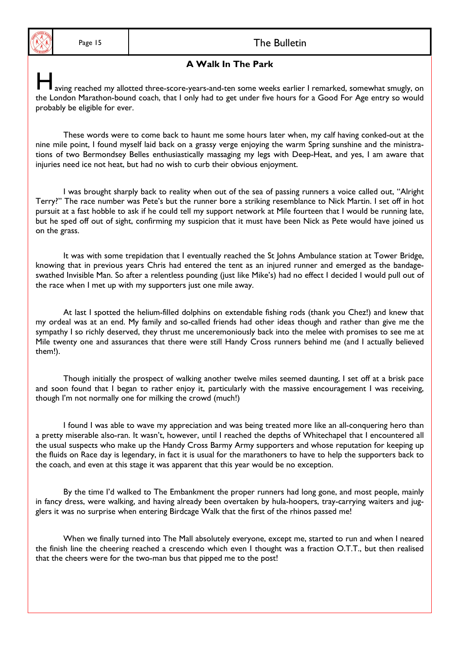## Page 15 and the Bulletin The Bulletin

#### **A Walk In The Park**

aving reached my allotted three-score-years-and-ten some weeks earlier I remarked, somewhat smugly, on the London Marathon-bound coach, that I only had to get under five hours for a Good For Age entry so would probably be eligible for ever.

 These words were to come back to haunt me some hours later when, my calf having conked-out at the nine mile point, I found myself laid back on a grassy verge enjoying the warm Spring sunshine and the ministrations of two Bermondsey Belles enthusiastically massaging my legs with Deep-Heat, and yes, I am aware that injuries need ice not heat, but had no wish to curb their obvious enjoyment.

 I was brought sharply back to reality when out of the sea of passing runners a voice called out, "Alright Terry?" The race number was Pete's but the runner bore a striking resemblance to Nick Martin. I set off in hot pursuit at a fast hobble to ask if he could tell my support network at Mile fourteen that I would be running late, but he sped off out of sight, confirming my suspicion that it must have been Nick as Pete would have joined us on the grass.

 It was with some trepidation that I eventually reached the St Johns Ambulance station at Tower Bridge, knowing that in previous years Chris had entered the tent as an injured runner and emerged as the bandageswathed Invisible Man. So after a relentless pounding (just like Mike's) had no effect I decided I would pull out of the race when I met up with my supporters just one mile away.

 At last I spotted the helium-filled dolphins on extendable fishing rods (thank you Chez!) and knew that my ordeal was at an end. My family and so-called friends had other ideas though and rather than give me the sympathy I so richly deserved, they thrust me unceremoniously back into the melee with promises to see me at Mile twenty one and assurances that there were still Handy Cross runners behind me (and I actually believed them!).

 Though initially the prospect of walking another twelve miles seemed daunting, I set off at a brisk pace and soon found that I began to rather enjoy it, particularly with the massive encouragement I was receiving, though I'm not normally one for milking the crowd (much!)

 I found I was able to wave my appreciation and was being treated more like an all-conquering hero than a pretty miserable also-ran. It wasn't, however, until I reached the depths of Whitechapel that I encountered all the usual suspects who make up the Handy Cross Barmy Army supporters and whose reputation for keeping up the fluids on Race day is legendary, in fact it is usual for the marathoners to have to help the supporters back to the coach, and even at this stage it was apparent that this year would be no exception.

By the time I'd walked to The Embankment the proper runners had long gone, and most people, mainly in fancy dress, were walking, and having already been overtaken by hula-hoopers, tray-carrying waiters and jugglers it was no surprise when entering Birdcage Walk that the first of the rhinos passed me!

 When we finally turned into The Mall absolutely everyone, except me, started to run and when I neared the finish line the cheering reached a crescendo which even I thought was a fraction O.T.T., but then realised that the cheers were for the two-man bus that pipped me to the post!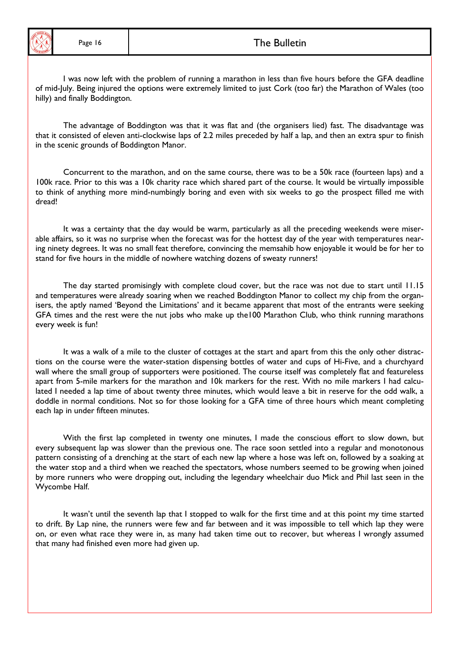

## Page 16 and 1 and 1 and 1 and 1 and 1 and 1 and 1 and 1 and 1 and 1 and 1 and 1 and 1 and 1 and 1 and 1 and 1 and 1 and 1 and 1 and 1 and 1 and 1 and 1 and 1 and 1 and 1 and 1 and 1 and 1 and 1 and 1 and 1 and 1 and 1 and

 I was now left with the problem of running a marathon in less than five hours before the GFA deadline of mid-July. Being injured the options were extremely limited to just Cork (too far) the Marathon of Wales (too hilly) and finally Boddington.

 The advantage of Boddington was that it was flat and (the organisers lied) fast. The disadvantage was that it consisted of eleven anti-clockwise laps of 2.2 miles preceded by half a lap, and then an extra spur to finish in the scenic grounds of Boddington Manor.

 Concurrent to the marathon, and on the same course, there was to be a 50k race (fourteen laps) and a 100k race. Prior to this was a 10k charity race which shared part of the course. It would be virtually impossible to think of anything more mind-numbingly boring and even with six weeks to go the prospect filled me with dread!

 It was a certainty that the day would be warm, particularly as all the preceding weekends were miserable affairs, so it was no surprise when the forecast was for the hottest day of the year with temperatures nearing ninety degrees. It was no small feat therefore, convincing the memsahib how enjoyable it would be for her to stand for five hours in the middle of nowhere watching dozens of sweaty runners!

 The day started promisingly with complete cloud cover, but the race was not due to start until 11.15 and temperatures were already soaring when we reached Boddington Manor to collect my chip from the organisers, the aptly named 'Beyond the Limitations' and it became apparent that most of the entrants were seeking GFA times and the rest were the nut jobs who make up the100 Marathon Club, who think running marathons every week is fun!

 It was a walk of a mile to the cluster of cottages at the start and apart from this the only other distractions on the course were the water-station dispensing bottles of water and cups of Hi-Five, and a churchyard wall where the small group of supporters were positioned. The course itself was completely flat and featureless apart from 5-mile markers for the marathon and 10k markers for the rest. With no mile markers I had calculated I needed a lap time of about twenty three minutes, which would leave a bit in reserve for the odd walk, a doddle in normal conditions. Not so for those looking for a GFA time of three hours which meant completing each lap in under fifteen minutes.

 With the first lap completed in twenty one minutes, I made the conscious effort to slow down, but every subsequent lap was slower than the previous one. The race soon settled into a regular and monotonous pattern consisting of a drenching at the start of each new lap where a hose was left on, followed by a soaking at the water stop and a third when we reached the spectators, whose numbers seemed to be growing when joined by more runners who were dropping out, including the legendary wheelchair duo Mick and Phil last seen in the Wycombe Half.

It wasn't until the seventh lap that I stopped to walk for the first time and at this point my time started to drift. By Lap nine, the runners were few and far between and it was impossible to tell which lap they were on, or even what race they were in, as many had taken time out to recover, but whereas I wrongly assumed that many had finished even more had given up.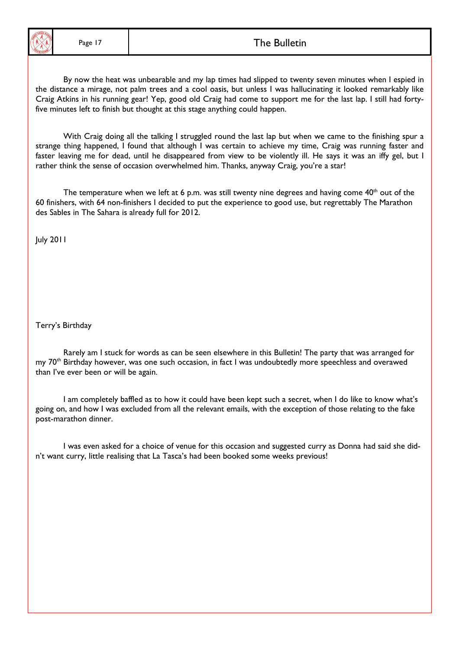

## Page 17 and 17 and 17 and 17 and 17 and 17 and 17 and 17 and 17 and 17 and 17 and 17 and 17 and 17 and 17 and 1

 By now the heat was unbearable and my lap times had slipped to twenty seven minutes when I espied in the distance a mirage, not palm trees and a cool oasis, but unless I was hallucinating it looked remarkably like Craig Atkins in his running gear! Yep, good old Craig had come to support me for the last lap. I still had fortyfive minutes left to finish but thought at this stage anything could happen.

 With Craig doing all the talking I struggled round the last lap but when we came to the finishing spur a strange thing happened, I found that although I was certain to achieve my time, Craig was running faster and faster leaving me for dead, until he disappeared from view to be violently ill. He says it was an iffy gel, but I rather think the sense of occasion overwhelmed him. Thanks, anyway Craig, you're a star!

The temperature when we left at 6 p.m. was still twenty nine degrees and having come  $40<sup>th</sup>$  out of the 60 finishers, with 64 non-finishers I decided to put the experience to good use, but regrettably The Marathon des Sables in The Sahara is already full for 2012.

July 2011

Terry's Birthday

 Rarely am I stuck for words as can be seen elsewhere in this Bulletin! The party that was arranged for my 70<sup>th</sup> Birthday however, was one such occasion, in fact I was undoubtedly more speechless and overawed than I've ever been or will be again.

 I am completely baffled as to how it could have been kept such a secret, when I do like to know what's going on, and how I was excluded from all the relevant emails, with the exception of those relating to the fake post-marathon dinner.

 I was even asked for a choice of venue for this occasion and suggested curry as Donna had said she didn't want curry, little realising that La Tasca's had been booked some weeks previous!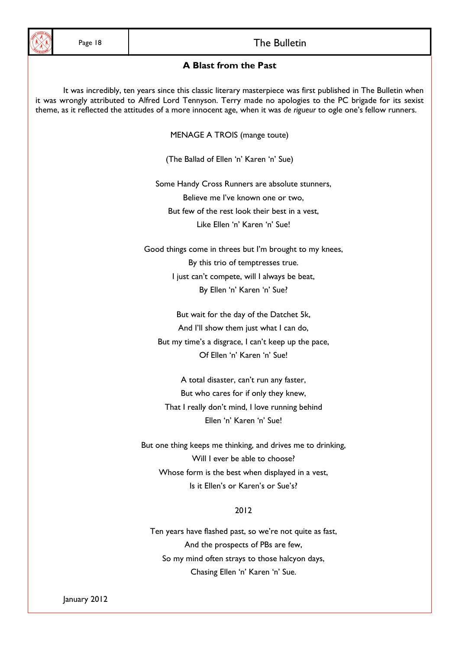

## Page 18 and the Bulletin The Bulletin

#### **A Blast from the Past**

 It was incredibly, ten years since this classic literary masterpiece was first published in The Bulletin when it was wrongly attributed to Alfred Lord Tennyson. Terry made no apologies to the PC brigade for its sexist theme, as it reflected the attitudes of a more innocent age, when it was *de rigueur* to ogle one's fellow runners.

MENAGE A TROIS (mange toute)

(The Ballad of Ellen 'n' Karen 'n' Sue)

 Some Handy Cross Runners are absolute stunners, Believe me I've known one or two, But few of the rest look their best in a vest, Like Ellen 'n' Karen 'n' Sue!

 Good things come in threes but I'm brought to my knees, By this trio of temptresses true. I just can't compete, will I always be beat, By Ellen 'n' Karen 'n' Sue?

 But wait for the day of the Datchet 5k, And I'll show them just what I can do, But my time's a disgrace, I can't keep up the pace, Of Ellen 'n' Karen 'n' Sue!

 A total disaster, can't run any faster, But who cares for if only they knew, That I really don't mind, I love running behind Ellen 'n' Karen 'n' Sue!

 But one thing keeps me thinking, and drives me to drinking, Will I ever be able to choose? Whose form is the best when displayed in a vest, Is it Ellen's or Karen's or Sue's?

#### 2012

 Ten years have flashed past, so we're not quite as fast, And the prospects of PBs are few, So my mind often strays to those halcyon days, Chasing Ellen 'n' Karen 'n' Sue.

January 2012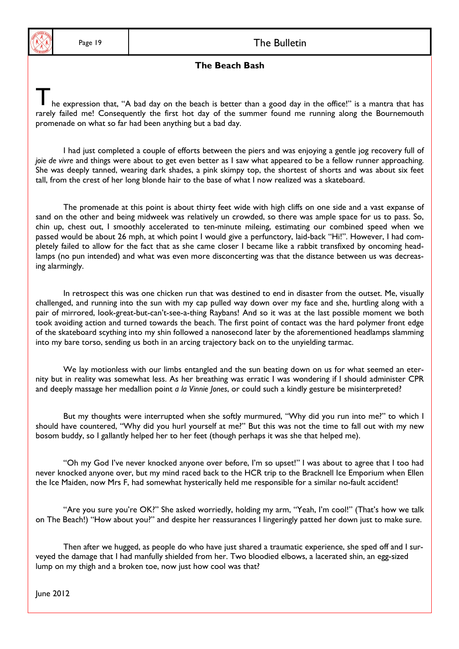

#### Page 19 and the Bulletin The Bulletin

#### **The Beach Bash**

he expression that, "A bad day on the beach is better than a good day in the office!" is a mantra that has rarely failed me! Consequently the first hot day of the summer found me running along the Bournemouth promenade on what so far had been anything but a bad day.

 I had just completed a couple of efforts between the piers and was enjoying a gentle jog recovery full of *joie de vivre* and things were about to get even better as I saw what appeared to be a fellow runner approaching. She was deeply tanned, wearing dark shades, a pink skimpy top, the shortest of shorts and was about six feet tall, from the crest of her long blonde hair to the base of what I now realized was a skateboard.

 The promenade at this point is about thirty feet wide with high cliffs on one side and a vast expanse of sand on the other and being midweek was relatively un crowded, so there was ample space for us to pass. So, chin up, chest out, I smoothly accelerated to ten-minute mileing, estimating our combined speed when we passed would be about 26 mph, at which point I would give a perfunctory, laid-back "Hi!". However, I had completely failed to allow for the fact that as she came closer I became like a rabbit transfixed by oncoming headlamps (no pun intended) and what was even more disconcerting was that the distance between us was decreasing alarmingly.

 In retrospect this was one chicken run that was destined to end in disaster from the outset. Me, visually challenged, and running into the sun with my cap pulled way down over my face and she, hurtling along with a pair of mirrored, look-great-but-can't-see-a-thing Raybans! And so it was at the last possible moment we both took avoiding action and turned towards the beach. The first point of contact was the hard polymer front edge of the skateboard scything into my shin followed a nanosecond later by the aforementioned headlamps slamming into my bare torso, sending us both in an arcing trajectory back on to the unyielding tarmac.

We lay motionless with our limbs entangled and the sun beating down on us for what seemed an eternity but in reality was somewhat less. As her breathing was erratic I was wondering if I should administer CPR and deeply massage her medallion point *a la Vinnie Jones*, or could such a kindly gesture be misinterpreted?

 But my thoughts were interrupted when she softly murmured, "Why did you run into me?" to which I should have countered, "Why did you hurl yourself at me?" But this was not the time to fall out with my new bosom buddy, so I gallantly helped her to her feet (though perhaps it was she that helped me).

 "Oh my God I've never knocked anyone over before, I'm so upset!" I was about to agree that I too had never knocked anyone over, but my mind raced back to the HCR trip to the Bracknell Ice Emporium when Ellen the Ice Maiden, now Mrs F, had somewhat hysterically held me responsible for a similar no-fault accident!

 "Are you sure you're OK?" She asked worriedly, holding my arm, "Yeah, I'm cool!" (That's how we talk on The Beach!) "How about you?" and despite her reassurances I lingeringly patted her down just to make sure.

 Then after we hugged, as people do who have just shared a traumatic experience, she sped off and I surveyed the damage that I had manfully shielded from her. Two bloodied elbows, a lacerated shin, an egg-sized lump on my thigh and a broken toe, now just how cool was that?

June 2012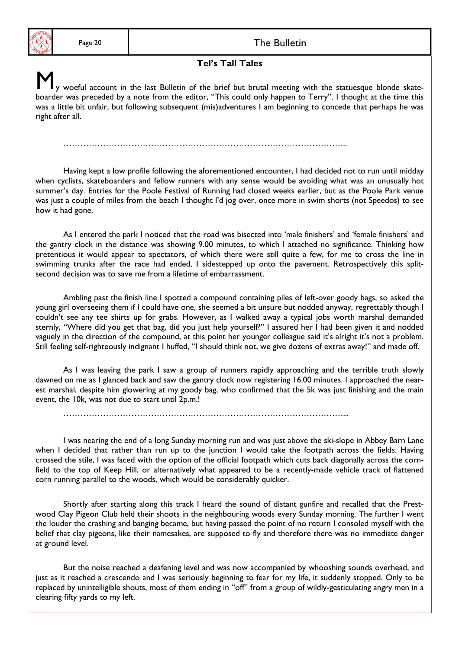#### Page 20 and the Bulletin **The Bulletin**

#### **Tel's Tall Tales**

y woeful account in the last Bulletin of the brief but brutal meeting with the statuesque blonde skateboarder was preceded by a note from the editor, "This could only happen to Terry". I thought at the time this was a little bit unfair, but following subsequent (mis)adventures I am beginning to concede that perhaps he was right after all.

………………………………………………………………………………………..

 Having kept a low profile following the aforementioned encounter, I had decided not to run until midday when cyclists, skateboarders and fellow runners with any sense would be avoiding what was an unusually hot summer's day. Entries for the Poole Festival of Running had closed weeks earlier, but as the Poole Park venue was just a couple of miles from the beach I thought I'd jog over, once more in swim shorts (not Speedos) to see how it had gone.

 As I entered the park I noticed that the road was bisected into 'male finishers' and 'female finishers' and the gantry clock in the distance was showing 9.00 minutes, to which I attached no significance. Thinking how pretentious it would appear to spectators, of which there were still quite a few, for me to cross the line in swimming trunks after the race had ended, I sidestepped up onto the pavement. Retrospectively this splitsecond decision was to save me from a lifetime of embarrassment.

 Ambling past the finish line I spotted a compound containing piles of left-over goody bags, so asked the young girl overseeing them if I could have one, she seemed a bit unsure but nodded anyway, regrettably though I couldn't see any tee shirts up for grabs. However, as I walked away a typical jobs worth marshal demanded sternly, "Where did you get that bag, did you just help yourself?" I assured her I had been given it and nodded vaguely in the direction of the compound, at this point her younger colleague said it's alright it's not a problem. Still feeling self-righteously indignant I huffed, "I should think not, we give dozens of extras away!" and made off.

 As I was leaving the park I saw a group of runners rapidly approaching and the terrible truth slowly dawned on me as I glanced back and saw the gantry clock now registering 16.00 minutes. I approached the nearest marshal, despite him glowering at my goody bag, who confirmed that the 5k was just finishing and the main event, the 10k, was not due to start until 2p.m.!

………………………………………………………………………………………...

 I was nearing the end of a long Sunday morning run and was just above the ski-slope in Abbey Barn Lane when I decided that rather than run up to the junction I would take the footpath across the fields. Having crossed the stile, I was faced with the option of the official footpath which cuts back diagonally across the cornfield to the top of Keep Hill, or alternatively what appeared to be a recently-made vehicle track of flattened corn running parallel to the woods, which would be considerably quicker.

 Shortly after starting along this track I heard the sound of distant gunfire and recalled that the Prestwood Clay Pigeon Club held their shoots in the neighbouring woods every Sunday morning. The further I went the louder the crashing and banging became, but having passed the point of no return I consoled myself with the belief that clay pigeons, like their namesakes, are supposed to fly and therefore there was no immediate danger at ground level.

 But the noise reached a deafening level and was now accompanied by whooshing sounds overhead, and just as it reached a crescendo and I was seriously beginning to fear for my life, it suddenly stopped. Only to be replaced by unintelligible shouts, most of them ending in "off" from a group of wildly-gesticulating angry men in a clearing fifty yards to my left.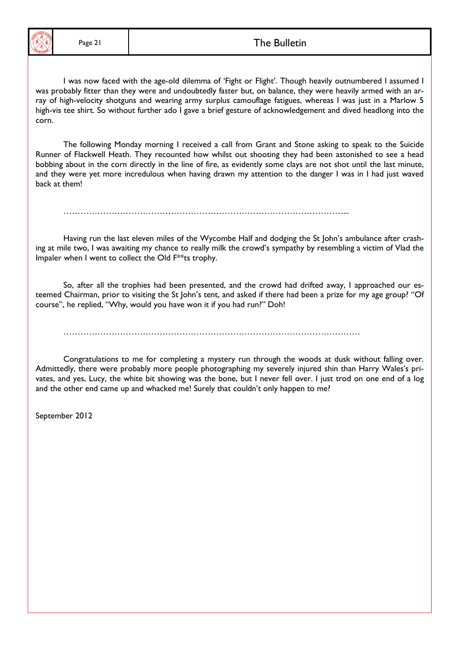#### Page 21 and 1 and 1 and 2 and 2 and 2 and 2 and 2 and 2 and 2 and 2 and 2 and 2 and 2 and 2 and 2 and 2 and 2 and 2 and 2 and 2 and 2 and 2 and 2 and 2 and 2 and 2 and 2 and 2 and 2 and 2 and 2 and 2 and 2 and 2 and 2 and

 I was now faced with the age-old dilemma of 'Fight or Flight'. Though heavily outnumbered I assumed I was probably fitter than they were and undoubtedly faster but, on balance, they were heavily armed with an array of high-velocity shotguns and wearing army surplus camouflage fatigues, whereas I was just in a Marlow 5 high-vis tee shirt. So without further ado I gave a brief gesture of acknowledgement and dived headlong into the corn.

 The following Monday morning I received a call from Grant and Stone asking to speak to the Suicide Runner of Flackwell Heath. They recounted how whilst out shooting they had been astonished to see a head bobbing about in the corn directly in the line of fire, as evidently some clays are not shot until the last minute, and they were yet more incredulous when having drawn my attention to the danger I was in I had just waved back at them!

………………………………………………………………………………………...

 Having run the last eleven miles of the Wycombe Half and dodging the St John's ambulance after crashing at mile two, I was awaiting my chance to really milk the crowd's sympathy by resembling a victim of Vlad the Impaler when I went to collect the Old F\*\*ts trophy.

 So, after all the trophies had been presented, and the crowd had drifted away, I approached our esteemed Chairman, prior to visiting the St John's tent, and asked if there had been a prize for my age group? "Of course", he replied, "Why, would you have won it if you had run?" Doh!

……………………………………………………………………………………………

 Congratulations to me for completing a mystery run through the woods at dusk without falling over. Admittedly, there were probably more people photographing my severely injured shin than Harry Wales's privates, and yes, Lucy, the white bit showing was the bone, but I never fell over. I just trod on one end of a log and the other end came up and whacked me! Surely that couldn't only happen to me?

September 2012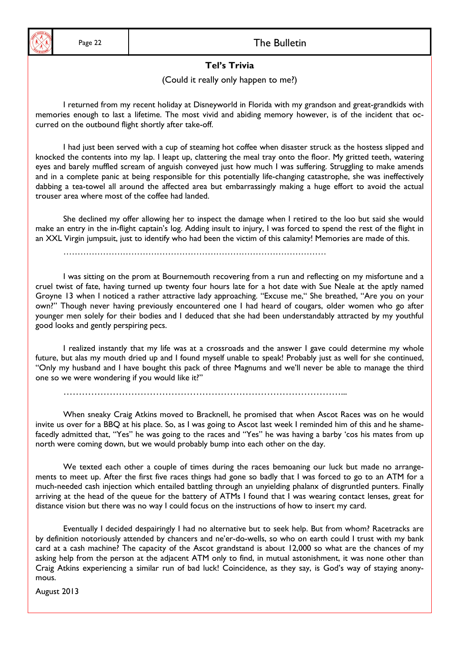## Page 22 and the Bulletin The Bulletin

## **Tel's Trivia**

(Could it really only happen to me?)

 I returned from my recent holiday at Disneyworld in Florida with my grandson and great-grandkids with memories enough to last a lifetime. The most vivid and abiding memory however, is of the incident that occurred on the outbound flight shortly after take-off.

 I had just been served with a cup of steaming hot coffee when disaster struck as the hostess slipped and knocked the contents into my lap. I leapt up, clattering the meal tray onto the floor. My gritted teeth, watering eyes and barely muffled scream of anguish conveyed just how much I was suffering. Struggling to make amends and in a complete panic at being responsible for this potentially life-changing catastrophe, she was ineffectively dabbing a tea-towel all around the affected area but embarrassingly making a huge effort to avoid the actual trouser area where most of the coffee had landed.

 She declined my offer allowing her to inspect the damage when I retired to the loo but said she would make an entry in the in-flight captain's log. Adding insult to injury, I was forced to spend the rest of the flight in an XXL Virgin jumpsuit, just to identify who had been the victim of this calamity! Memories are made of this.

…………………………………………………………………………………

 I was sitting on the prom at Bournemouth recovering from a run and reflecting on my misfortune and a cruel twist of fate, having turned up twenty four hours late for a hot date with Sue Neale at the aptly named Groyne 13 when I noticed a rather attractive lady approaching. "Excuse me," She breathed, "Are you on your own?" Though never having previously encountered one I had heard of cougars, older women who go after younger men solely for their bodies and I deduced that she had been understandably attracted by my youthful good looks and gently perspiring pecs.

 I realized instantly that my life was at a crossroads and the answer I gave could determine my whole future, but alas my mouth dried up and I found myself unable to speak! Probably just as well for she continued, "Only my husband and I have bought this pack of three Magnums and we'll never be able to manage the third one so we were wondering if you would like it?"

………………………………………………………………………………...

 When sneaky Craig Atkins moved to Bracknell, he promised that when Ascot Races was on he would invite us over for a BBQ at his place. So, as I was going to Ascot last week I reminded him of this and he shamefacedly admitted that, "Yes" he was going to the races and "Yes" he was having a barby 'cos his mates from up north were coming down, but we would probably bump into each other on the day.

We texted each other a couple of times during the races bemoaning our luck but made no arrangements to meet up. After the first five races things had gone so badly that I was forced to go to an ATM for a much-needed cash injection which entailed battling through an unyielding phalanx of disgruntled punters. Finally arriving at the head of the queue for the battery of ATMs I found that I was wearing contact lenses, great for distance vision but there was no way I could focus on the instructions of how to insert my card.

 Eventually I decided despairingly I had no alternative but to seek help. But from whom? Racetracks are by definition notoriously attended by chancers and ne'er-do-wells, so who on earth could I trust with my bank card at a cash machine? The capacity of the Ascot grandstand is about 12,000 so what are the chances of my asking help from the person at the adjacent ATM only to find, in mutual astonishment, it was none other than Craig Atkins experiencing a similar run of bad luck! Coincidence, as they say, is God's way of staying anonymous.

August 2013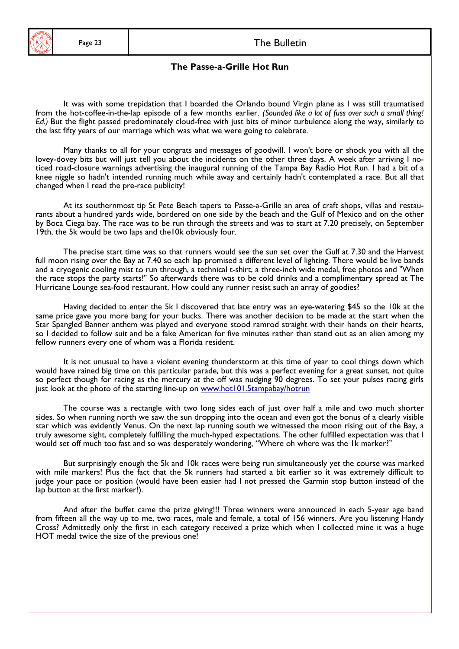

#### Page 23 and the Bulletin The Bulletin

#### **The Passe-a-Grille Hot Run**

 It was with some trepidation that I boarded the Orlando bound Virgin plane as I was still traumatised from the hot-coffee-in-the-lap episode of a few months earlier. *(Sounded like a lot of fuss over such a small thing! Ed.)* But the flight passed predominately cloud-free with just bits of minor turbulence along the way, similarly to the last fifty years of our marriage which was what we were going to celebrate.

 Many thanks to all for your congrats and messages of goodwill. I won't bore or shock you with all the lovey-dovey bits but will just tell you about the incidents on the other three days. A week after arriving I noticed road-closure warnings advertising the inaugural running of the Tampa Bay Radio Hot Run. I had a bit of a knee niggle so hadn't intended running much while away and certainly hadn't contemplated a race. But all that changed when I read the pre-race publicity!

 At its southernmost tip St Pete Beach tapers to Passe-a-Grille an area of craft shops, villas and restaurants about a hundred yards wide, bordered on one side by the beach and the Gulf of Mexico and on the other by Boca Ciega bay. The race was to be run through the streets and was to start at 7.20 precisely, on September 19th, the 5k would be two laps and the10k obviously four.

 The precise start time was so that runners would see the sun set over the Gulf at 7.30 and the Harvest full moon rising over the Bay at 7.40 so each lap promised a different level of lighting. There would be live bands and a cryogenic cooling mist to run through, a technical t-shirt, a three-inch wide medal, free photos and "When the race stops the party starts!" So afterwards there was to be cold drinks and a complimentary spread at The Hurricane Lounge sea-food restaurant. How could any runner resist such an array of goodies?

 Having decided to enter the 5k I discovered that late entry was an eye-watering \$45 so the 10k at the same price gave you more bang for your bucks. There was another decision to be made at the start when the Star Spangled Banner anthem was played and everyone stood ramrod straight with their hands on their hearts, so I decided to follow suit and be a fake American for five minutes rather than stand out as an alien among my fellow runners every one of whom was a Florida resident.

 It is not unusual to have a violent evening thunderstorm at this time of year to cool things down which would have rained big time on this particular parade, but this was a perfect evening for a great sunset, not quite so perfect though for racing as the mercury at the off was nudging 90 degrees. To set your pulses racing girls just look at the photo of the starting line-up on www.hot101.5tampabay/hotrun

 The course was a rectangle with two long sides each of just over half a mile and two much shorter sides. So when running north we saw the sun dropping into the ocean and even got the bonus of a clearly visible star which was evidently Venus. On the next lap running south we witnessed the moon rising out of the Bay, a truly awesome sight, completely fulfilling the much-hyped expectations. The other fulfilled expectation was that I would set off much too fast and so was desperately wondering, "Where oh where was the 1k marker?"

 But surprisingly enough the 5k and 10k races were being run simultaneously yet the course was marked with mile markers! Plus the fact that the 5k runners had started a bit earlier so it was extremely difficult to judge your pace or position (would have been easier had I not pressed the Garmin stop button instead of the lap button at the first marker!).

 And after the buffet came the prize giving!!! Three winners were announced in each 5-year age band from fifteen all the way up to me, two races, male and female, a total of 156 winners. Are you listening Handy Cross? Admittedly only the first in each category received a prize which when I collected mine it was a huge HOT medal twice the size of the previous one!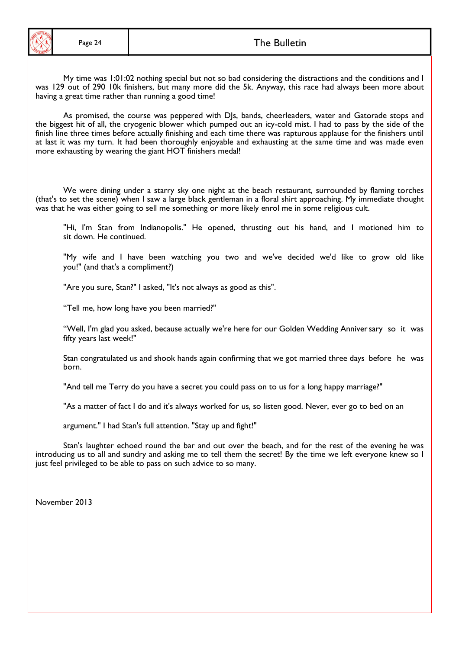was 129 out of 290 10k finishers, but many more did the 5k. Anyway, this race had always been more about My time was 1:01:02 nothing special but not so bad considering the distractions and the conditions and I having a great time rather than running a good time!

As promised, the course was peppered with DJs, bands, cheerleaders, water and Gatorade stops and the biggest hit of all, the cryogenic blower which pumped out an icy-cold mist. I had to pass by the side of the finish line three times before actually finishing and each time there was rapturous applause for the finishers until at last it was my turn. It had been thoroughly enjoyable and exhausting at the same time and was made even more exhausting by wearing the giant HOT finishers medal!

 We were dining under a starry sky one night at the beach restaurant, surrounded by flaming torches (that's to set the scene) when I saw a large black gentleman in a floral shirt approaching. My immediate thought was that he was either going to sell me something or more likely enrol me in some religious cult.

"Hi, I'm Stan from Indianopolis." He opened, thrusting out his hand, and I motioned him to sit down. He continued.

"My wife and I have been watching you two and we've decided we'd like to grow old like you!" (and that's a compliment?)

"Are you sure, Stan?" I asked, "It's not always as good as this".

"Tell me, how long have you been married?"

 "Well, I'm glad you asked, because actually we're here for our Golden Wedding Anniver sary so it was fifty years last week!"

 Stan congratulated us and shook hands again confirming that we got married three days before he was born.

"And tell me Terry do you have a secret you could pass on to us for a long happy marriage?"

"As a matter of fact I do and it's always worked for us, so listen good. Never, ever go to bed on an

argument." I had Stan's full attention. "Stay up and fight!"

 Stan's laughter echoed round the bar and out over the beach, and for the rest of the evening he was introducing us to all and sundry and asking me to tell them the secret! By the time we left everyone knew so I just feel privileged to be able to pass on such advice to so many.

November 2013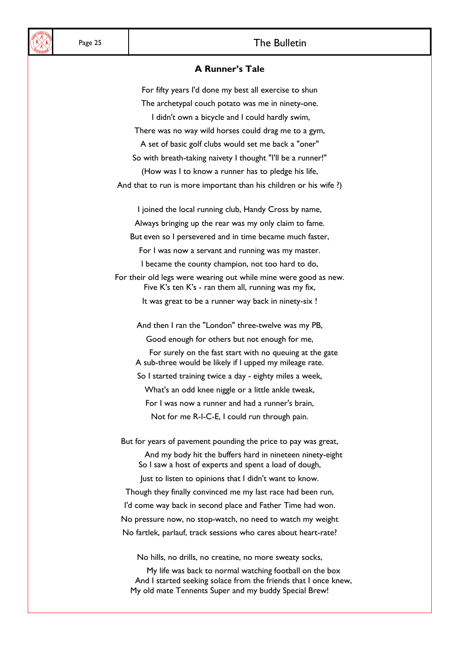# Page 25 and the Bulletin **The Bulletin**

#### **A Runner's Tale**

For fifty years I'd done my best all exercise to shun The archetypal couch potato was me in ninety-one. I didn't own a bicycle and I could hardly swim, There was no way wild horses could drag me to a gym, A set of basic golf clubs would set me back a "oner" So with breath-taking naivety I thought "I'll be a runner!" (How was I to know a runner has to pledge his life, And that to run is more important than his children or his wife ?) I joined the local running club, Handy Cross by name, Always bringing up the rear was my only claim to fame. But even so I persevered and in time became much faster, For I was now a servant and running was my master. I became the county champion, not too hard to do, For their old legs were wearing out while mine were good as new. Five K's ten K's - ran them all, running was my fix, It was great to be a runner way back in ninety-six ! And then I ran the "London" three-twelve was my PB, Good enough for others but not enough for me, For surely on the fast start with no queuing at the gate A sub-three would be likely if I upped my mileage rate. So I started training twice a day - eighty miles a week, What's an odd knee niggle or a little ankle tweak, For I was now a runner and had a runner's brain, Not for me R-I-C-E, I could run through pain. But for years of pavement pounding the price to pay was great, And my body hit the buffers hard in nineteen ninety-eight So I saw a host of experts and spent a load of dough, Just to listen to opinions that I didn't want to know. Though they finally convinced me my last race had been run, I'd come way back in second place and Father Time had won. No pressure now, no stop-watch, no need to watch my weight No fartlek, parlauf, track sessions who cares about heart-rate?

No hills, no drills, no creatine, no more sweaty socks,

My life was back to normal watching football on the box And I started seeking solace from the friends that I once knew, My old mate Tennents Super and my buddy Special Brew!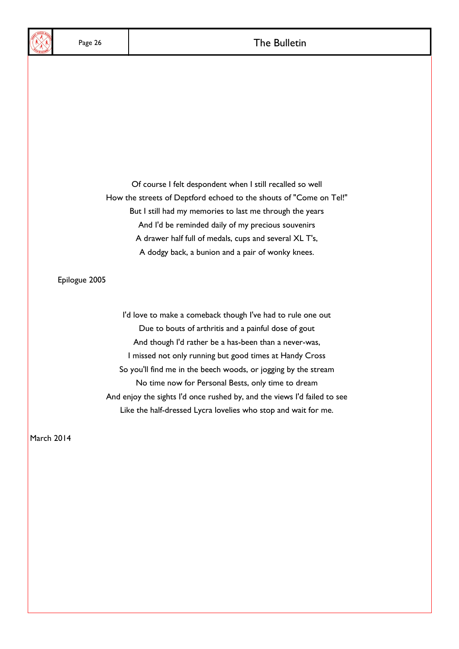Of course I felt despondent when I still recalled so well How the streets of Deptford echoed to the shouts of "Come on Tel!" But I still had my memories to last me through the years And I'd be reminded daily of my precious souvenirs A drawer half full of medals, cups and several XL T's, A dodgy back, a bunion and a pair of wonky knees.

Epilogue 2005

I'd love to make a comeback though I've had to rule one out Due to bouts of arthritis and a painful dose of gout And though I'd rather be a has-been than a never-was, I missed not only running but good times at Handy Cross So you'll find me in the beech woods, or jogging by the stream No time now for Personal Bests, only time to dream And enjoy the sights I'd once rushed by, and the views I'd failed to see Like the half-dressed Lycra lovelies who stop and wait for me.

March 2014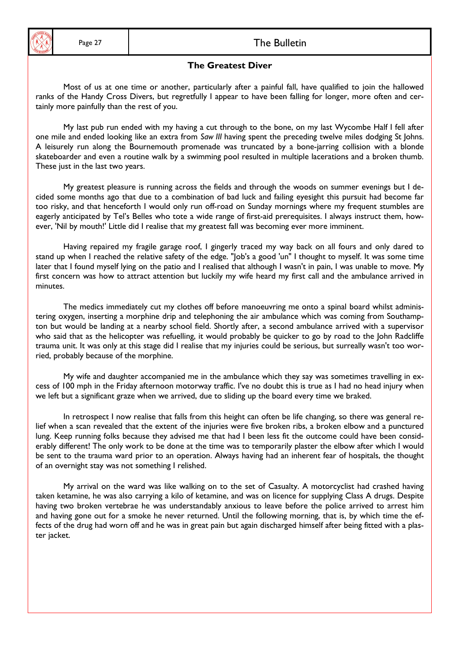

#### Page 27 and 1 and 1 and 2 and 2 and 2 and 2 and 2 and 2 and 2 and 2 and 2 and 2 and 2 and 2 and 2 and 2 and 2 and 2 and 2 and 2 and 2 and 2 and 2 and 2 and 2 and 2 and 2 and 2 and 2 and 2 and 2 and 2 and 2 and 2 and 2 and

#### **The Greatest Diver**

 ranks of the Handy Cross Divers, but regretfully I appear to have been falling for longer, more often and cer- Most of us at one time or another, particularly after a painful fall, have qualified to join the hallowed tainly more painfully than the rest of you.

 My last pub run ended with my having a cut through to the bone, on my last Wycombe Half I fell after one mile and ended looking like an extra from *Saw III* having spent the preceding twelve miles dodging St Johns. A leisurely run along the Bournemouth promenade was truncated by a bone-jarring collision with a blonde skateboarder and even a routine walk by a swimming pool resulted in multiple lacerations and a broken thumb. These just in the last two years.

 My greatest pleasure is running across the fields and through the woods on summer evenings but I decided some months ago that due to a combination of bad luck and failing eyesight this pursuit had become far too risky, and that henceforth I would only run off-road on Sunday mornings where my frequent stumbles are eagerly anticipated by Tel's Belles who tote a wide range of first-aid prerequisites. I always instruct them, however, 'Nil by mouth!' Little did I realise that my greatest fall was becoming ever more imminent.

 Having repaired my fragile garage roof, I gingerly traced my way back on all fours and only dared to stand up when I reached the relative safety of the edge. "Job's a good 'un" I thought to myself. It was some time later that I found myself lying on the patio and I realised that although I wasn't in pain, I was unable to move. My first concern was how to attract attention but luckily my wife heard my first call and the ambulance arrived in minutes.

 The medics immediately cut my clothes off before manoeuvring me onto a spinal board whilst administering oxygen, inserting a morphine drip and telephoning the air ambulance which was coming from Southampton but would be landing at a nearby school field. Shortly after, a second ambulance arrived with a supervisor who said that as the helicopter was refuelling, it would probably be quicker to go by road to the John Radcliffe trauma unit. It was only at this stage did I realise that my injuries could be serious, but surreally wasn't too worried, probably because of the morphine.

 My wife and daughter accompanied me in the ambulance which they say was sometimes travelling in excess of 100 mph in the Friday afternoon motorway traffic. I've no doubt this is true as I had no head injury when we left but a significant graze when we arrived, due to sliding up the board every time we braked.

In retrospect I now realise that falls from this height can often be life changing, so there was general relief when a scan revealed that the extent of the injuries were five broken ribs, a broken elbow and a punctured lung. Keep running folks because they advised me that had I been less fit the outcome could have been considerably different! The only work to be done at the time was to temporarily plaster the elbow after which I would be sent to the trauma ward prior to an operation. Always having had an inherent fear of hospitals, the thought of an overnight stay was not something I relished.

 My arrival on the ward was like walking on to the set of Casualty. A motorcyclist had crashed having taken ketamine, he was also carrying a kilo of ketamine, and was on licence for supplying Class A drugs. Despite having two broken vertebrae he was understandably anxious to leave before the police arrived to arrest him and having gone out for a smoke he never returned. Until the following morning, that is, by which time the effects of the drug had worn off and he was in great pain but again discharged himself after being fitted with a plaster jacket.